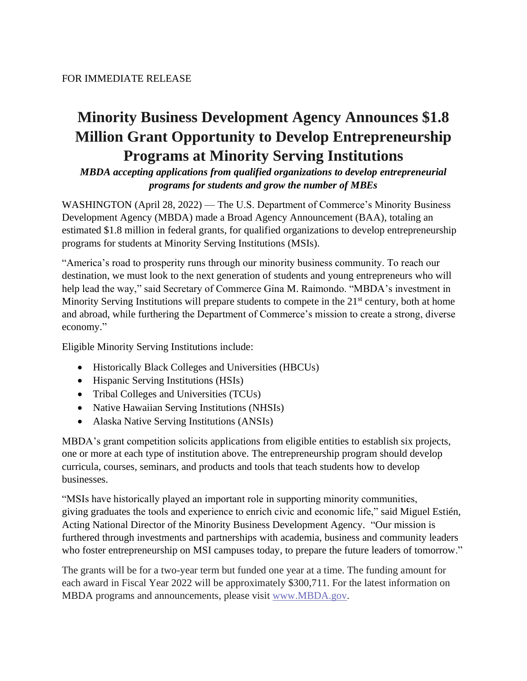## **Minority Business Development Agency Announces \$1.8 Million Grant Opportunity to Develop Entrepreneurship Programs at Minority Serving Institutions**

*MBDA accepting applications from qualified organizations to develop entrepreneurial programs for students and grow the number of MBEs*

WASHINGTON (April 28, 2022) — The U.S. Department of Commerce's Minority Business Development Agency (MBDA) made a Broad Agency Announcement (BAA), totaling an estimated \$1.8 million in federal grants, for qualified organizations to develop entrepreneurship programs for students at Minority Serving Institutions (MSIs).

"America's road to prosperity runs through our minority business community. To reach our destination, we must look to the next generation of students and young entrepreneurs who will help lead the way," said Secretary of Commerce Gina M. Raimondo. "MBDA's investment in Minority Serving Institutions will prepare students to compete in the  $21<sup>st</sup>$  century, both at home and abroad, while furthering the Department of Commerce's mission to create a strong, diverse economy."

Eligible Minority Serving Institutions include:

- Historically Black Colleges and Universities (HBCUs)
- Hispanic Serving Institutions (HSIs)
- Tribal Colleges and Universities (TCUs)
- Native Hawaiian Serving Institutions (NHSIs)
- Alaska Native Serving Institutions (ANSIs)

MBDA's grant competition solicits applications from eligible entities to establish six projects, one or more at each type of institution above. The entrepreneurship program should develop curricula, courses, seminars, and products and tools that teach students how to develop businesses.

"MSIs have historically played an important role in supporting minority communities, giving graduates the tools and experience to enrich civic and economic life," said Miguel Estién, Acting National Director of the Minority Business Development Agency. "Our mission is furthered through investments and partnerships with academia, business and community leaders who foster entrepreneurship on MSI campuses today, to prepare the future leaders of tomorrow."

The grants will be for a two-year term but funded one year at a time. The funding amount for each award in Fiscal Year 2022 will be approximately \$300,711. For the latest information on MBDA programs and announcements, please visit [www.MBDA.gov.](http://www.mbda.gov/)